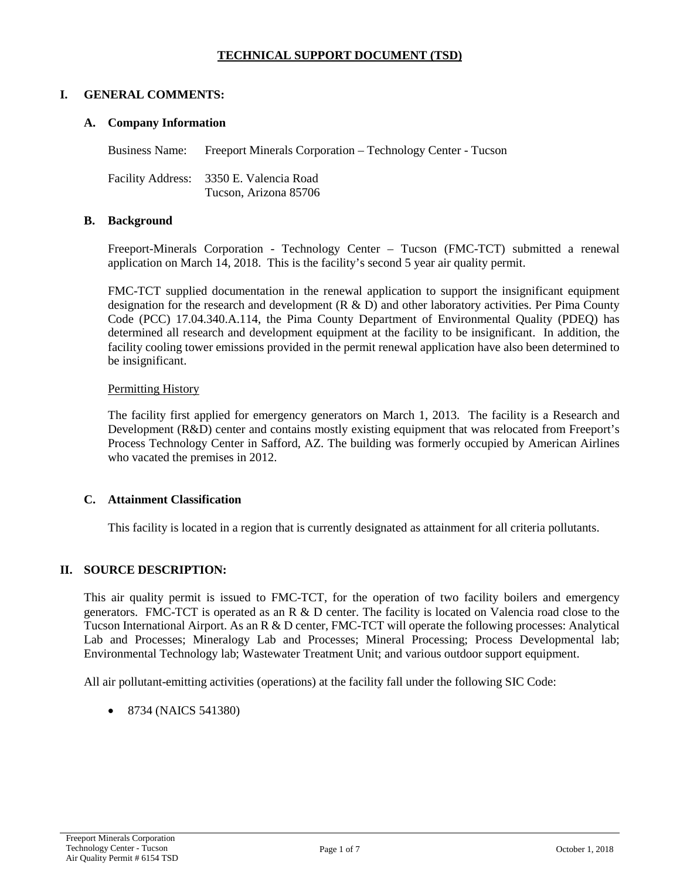## **TECHNICAL SUPPORT DOCUMENT (TSD)**

#### **I. GENERAL COMMENTS:**

#### **A. Company Information**

Business Name: Freeport Minerals Corporation – Technology Center - Tucson

Facility Address: 3350 E. Valencia Road Tucson, Arizona 85706

#### **B. Background**

Freeport-Minerals Corporation - Technology Center – Tucson (FMC-TCT) submitted a renewal application on March 14, 2018. This is the facility's second 5 year air quality permit.

FMC-TCT supplied documentation in the renewal application to support the insignificant equipment designation for the research and development (R & D) and other laboratory activities. Per Pima County Code (PCC) 17.04.340.A.114, the Pima County Department of Environmental Quality (PDEQ) has determined all research and development equipment at the facility to be insignificant. In addition, the facility cooling tower emissions provided in the permit renewal application have also been determined to be insignificant.

#### Permitting History

The facility first applied for emergency generators on March 1, 2013. The facility is a Research and Development (R&D) center and contains mostly existing equipment that was relocated from Freeport's Process Technology Center in Safford, AZ. The building was formerly occupied by American Airlines who vacated the premises in 2012.

#### **C. Attainment Classification**

This facility is located in a region that is currently designated as attainment for all criteria pollutants.

## **II. SOURCE DESCRIPTION:**

This air quality permit is issued to FMC-TCT, for the operation of two facility boilers and emergency generators. FMC-TCT is operated as an R & D center. The facility is located on Valencia road close to the Tucson International Airport. As an R & D center, FMC-TCT will operate the following processes: Analytical Lab and Processes; Mineralogy Lab and Processes; Mineral Processing; Process Developmental lab; Environmental Technology lab; Wastewater Treatment Unit; and various outdoor support equipment.

All air pollutant-emitting activities (operations) at the facility fall under the following SIC Code:

• 8734 (NAICS 541380)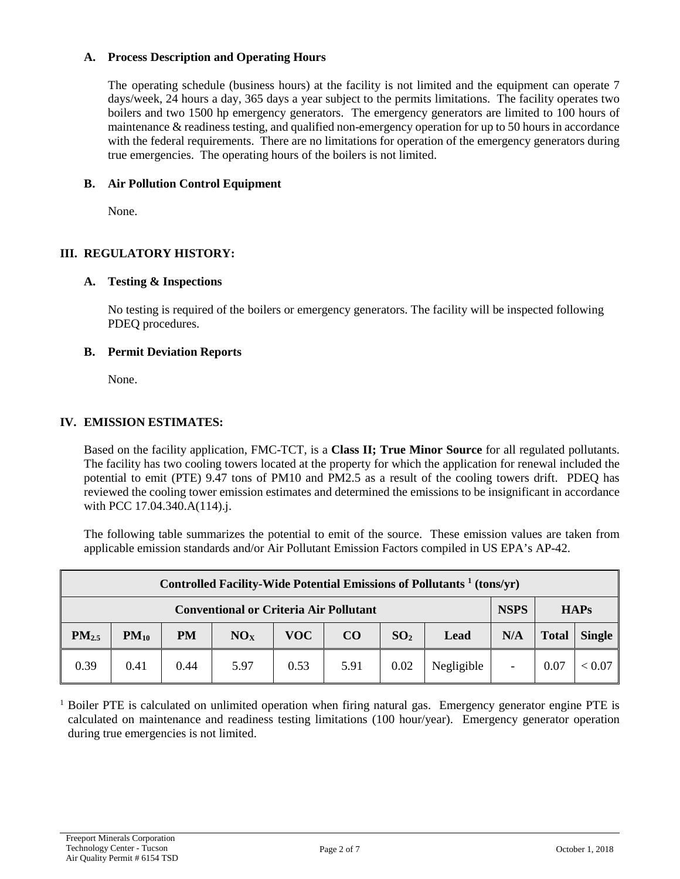#### **A. Process Description and Operating Hours**

The operating schedule (business hours) at the facility is not limited and the equipment can operate 7 days/week, 24 hours a day, 365 days a year subject to the permits limitations. The facility operates two boilers and two 1500 hp emergency generators. The emergency generators are limited to 100 hours of maintenance & readiness testing, and qualified non-emergency operation for up to 50 hours in accordance with the federal requirements. There are no limitations for operation of the emergency generators during true emergencies. The operating hours of the boilers is not limited.

## **B. Air Pollution Control Equipment**

None.

## **III. REGULATORY HISTORY:**

#### **A. Testing & Inspections**

No testing is required of the boilers or emergency generators. The facility will be inspected following PDEQ procedures.

#### **B. Permit Deviation Reports**

None.

## **IV. EMISSION ESTIMATES:**

Based on the facility application, FMC-TCT, is a **Class II; True Minor Source** for all regulated pollutants. The facility has two cooling towers located at the property for which the application for renewal included the potential to emit (PTE) 9.47 tons of PM10 and PM2.5 as a result of the cooling towers drift. PDEQ has reviewed the cooling tower emission estimates and determined the emissions to be insignificant in accordance with PCC 17.04.340.A(114).j.

The following table summarizes the potential to emit of the source. These emission values are taken from applicable emission standards and/or Air Pollutant Emission Factors compiled in US EPA's AP-42.

| Controlled Facility-Wide Potential Emissions of Pollutants <sup>1</sup> (tons/yr) |           |           |                 |            |      |                 |            |                          |              |               |
|-----------------------------------------------------------------------------------|-----------|-----------|-----------------|------------|------|-----------------|------------|--------------------------|--------------|---------------|
| <b>NSPS</b><br><b>HAPs</b><br><b>Conventional or Criteria Air Pollutant</b>       |           |           |                 |            |      |                 |            |                          |              |               |
| PM <sub>2.5</sub>                                                                 | $PM_{10}$ | <b>PM</b> | NO <sub>x</sub> | <b>VOC</b> | CO   | SO <sub>2</sub> | Lead       | N/A                      | <b>Total</b> | <b>Single</b> |
| 0.39                                                                              | 0.41      | 0.44      | 5.97            | 0.53       | 5.91 | 0.02            | Negligible | $\overline{\phantom{a}}$ | 0.07         | < 0.07        |

 $1$  Boiler PTE is calculated on unlimited operation when firing natural gas. Emergency generator engine PTE is calculated on maintenance and readiness testing limitations (100 hour/year). Emergency generator operation during true emergencies is not limited.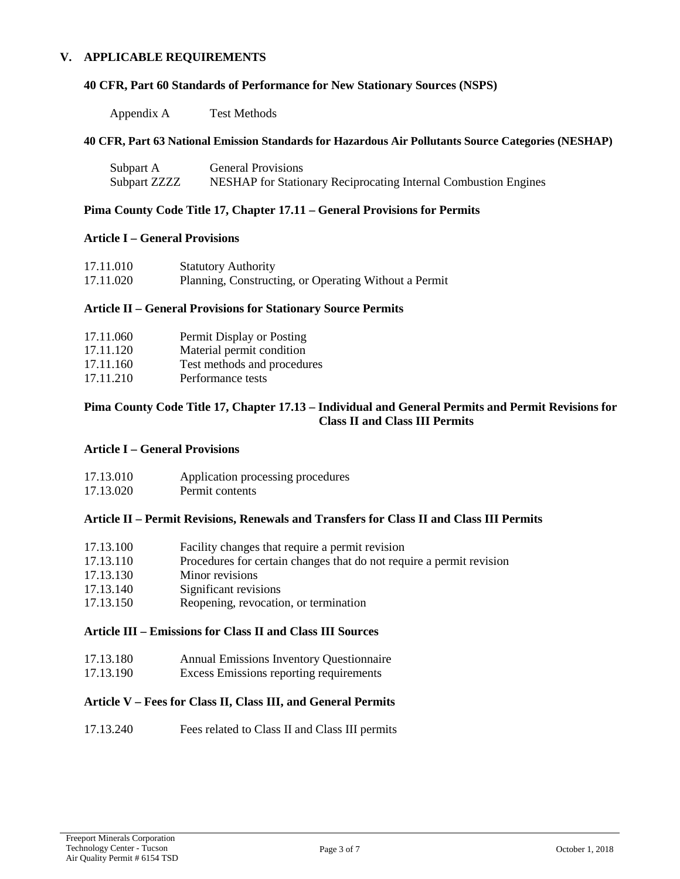#### **V. APPLICABLE REQUIREMENTS**

#### **40 CFR, Part 60 Standards of Performance for New Stationary Sources (NSPS)**

Appendix A Test Methods

#### **40 CFR, Part 63 National Emission Standards for Hazardous Air Pollutants Source Categories (NESHAP)**

| Subpart A    | <b>General Provisions</b>                                       |
|--------------|-----------------------------------------------------------------|
| Subpart ZZZZ | NESHAP for Stationary Reciprocating Internal Combustion Engines |

#### **Pima County Code Title 17, Chapter 17.11 – General Provisions for Permits**

#### **Article I – General Provisions**

| 17.11.010 | <b>Statutory Authority</b>                            |
|-----------|-------------------------------------------------------|
| 17.11.020 | Planning, Constructing, or Operating Without a Permit |

#### **Article II – General Provisions for Stationary Source Permits**

| 17.11.060 | Permit Display or Posting   |
|-----------|-----------------------------|
| 17.11.120 | Material permit condition   |
| 17.11.160 | Test methods and procedures |
| 17.11.210 | Performance tests           |
|           |                             |

#### **Pima County Code Title 17, Chapter 17.13 – Individual and General Permits and Permit Revisions for Class II and Class III Permits**

#### **Article I – General Provisions**

| 17.13.010 | Application processing procedures |
|-----------|-----------------------------------|
| 17.13.020 | Permit contents                   |

#### **Article II – Permit Revisions, Renewals and Transfers for Class II and Class III Permits**

| 17.13.100 | Facility changes that require a permit revision                      |
|-----------|----------------------------------------------------------------------|
| 17.13.110 | Procedures for certain changes that do not require a permit revision |
| 17.13.130 | Minor revisions                                                      |
| 17.13.140 | Significant revisions                                                |
| 17.13.150 | Reopening, revocation, or termination                                |
|           |                                                                      |

#### **Article III – Emissions for Class II and Class III Sources**

- 17.13.180 Annual Emissions Inventory Questionnaire
- 17.13.190 Excess Emissions reporting requirements

#### **Article V – Fees for Class II, Class III, and General Permits**

17.13.240 Fees related to Class II and Class III permits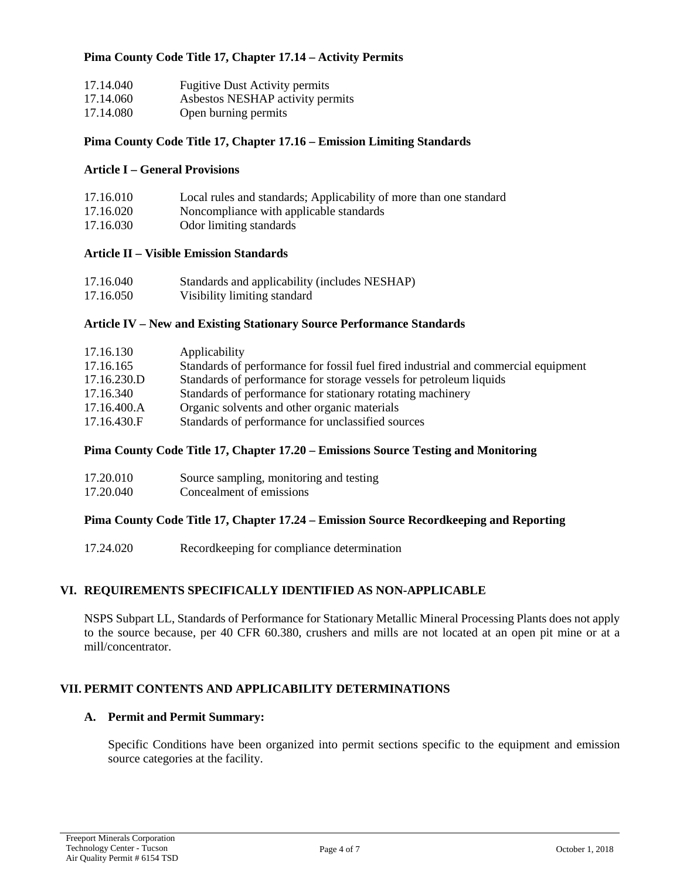#### **Pima County Code Title 17, Chapter 17.14 – Activity Permits**

| 17.14.040 | <b>Fugitive Dust Activity permits</b> |
|-----------|---------------------------------------|
| 17.14.060 | Asbestos NESHAP activity permits      |
| 17.14.080 | Open burning permits                  |

#### **Pima County Code Title 17, Chapter 17.16 – Emission Limiting Standards**

#### **Article I – General Provisions**

| 17.16.010 | Local rules and standards; Applicability of more than one standard |
|-----------|--------------------------------------------------------------------|
| 17.16.020 | Noncompliance with applicable standards                            |
| 17.16.030 | Odor limiting standards                                            |

#### **Article II – Visible Emission Standards**

| 17.16.040 | Standards and applicability (includes NESHAP) |
|-----------|-----------------------------------------------|
| 17.16.050 | Visibility limiting standard                  |

#### **Article IV – New and Existing Stationary Source Performance Standards**

| 17.16.130   | Applicability                                                                      |
|-------------|------------------------------------------------------------------------------------|
| 17.16.165   | Standards of performance for fossil fuel fired industrial and commercial equipment |
| 17.16.230.D | Standards of performance for storage vessels for petroleum liquids                 |
| 17.16.340   | Standards of performance for stationary rotating machinery                         |
| 17.16.400.A | Organic solvents and other organic materials                                       |
| 17.16.430.F | Standards of performance for unclassified sources                                  |
|             |                                                                                    |

#### **Pima County Code Title 17, Chapter 17.20 – Emissions Source Testing and Monitoring**

| 17.20.010 | Source sampling, monitoring and testing |
|-----------|-----------------------------------------|
| 17.20.040 | Concealment of emissions                |

#### **Pima County Code Title 17, Chapter 17.24 – Emission Source Recordkeeping and Reporting**

17.24.020 Recordkeeping for compliance determination

#### **VI. REQUIREMENTS SPECIFICALLY IDENTIFIED AS NON-APPLICABLE**

NSPS Subpart LL, Standards of Performance for Stationary Metallic Mineral Processing Plants does not apply to the source because, per 40 CFR 60.380, crushers and mills are not located at an open pit mine or at a mill/concentrator.

#### **VII. PERMIT CONTENTS AND APPLICABILITY DETERMINATIONS**

#### **A. Permit and Permit Summary:**

Specific Conditions have been organized into permit sections specific to the equipment and emission source categories at the facility.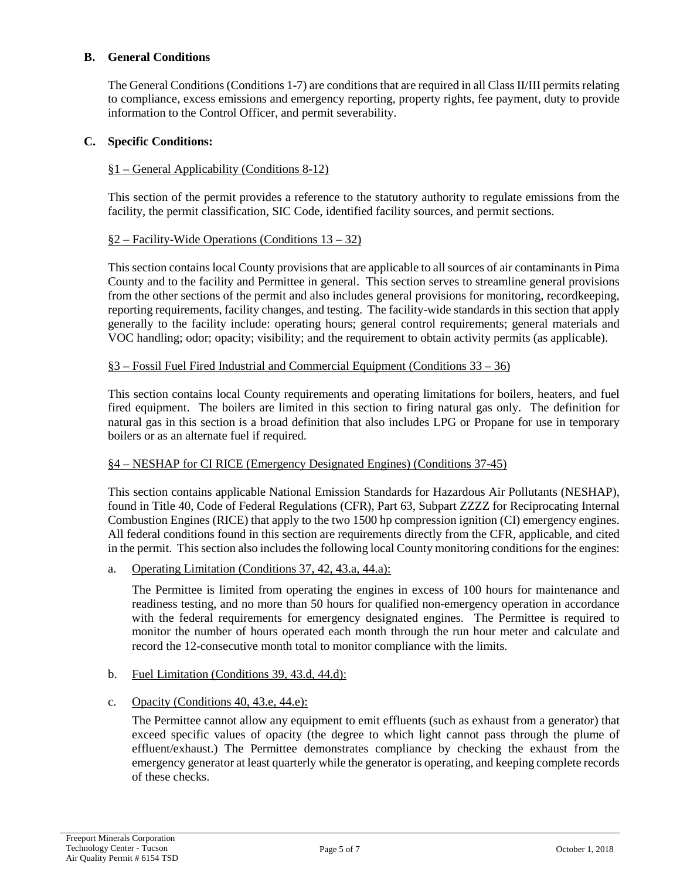#### **B. General Conditions**

The General Conditions (Conditions 1-7) are conditions that are required in all Class II/III permits relating to compliance, excess emissions and emergency reporting, property rights, fee payment, duty to provide information to the Control Officer, and permit severability.

#### **C. Specific Conditions:**

#### §1 – General Applicability (Conditions 8-12)

This section of the permit provides a reference to the statutory authority to regulate emissions from the facility, the permit classification, SIC Code, identified facility sources, and permit sections.

#### §2 – Facility-Wide Operations (Conditions 13 – 32)

This section contains local County provisions that are applicable to all sources of air contaminants in Pima County and to the facility and Permittee in general. This section serves to streamline general provisions from the other sections of the permit and also includes general provisions for monitoring, recordkeeping, reporting requirements, facility changes, and testing. The facility-wide standards in this section that apply generally to the facility include: operating hours; general control requirements; general materials and VOC handling; odor; opacity; visibility; and the requirement to obtain activity permits (as applicable).

#### §3 – Fossil Fuel Fired Industrial and Commercial Equipment (Conditions 33 – 36)

This section contains local County requirements and operating limitations for boilers, heaters, and fuel fired equipment. The boilers are limited in this section to firing natural gas only. The definition for natural gas in this section is a broad definition that also includes LPG or Propane for use in temporary boilers or as an alternate fuel if required.

#### §4 – NESHAP for CI RICE (Emergency Designated Engines) (Conditions 37-45)

This section contains applicable National Emission Standards for Hazardous Air Pollutants (NESHAP), found in Title 40, Code of Federal Regulations (CFR), Part 63, Subpart ZZZZ for Reciprocating Internal Combustion Engines (RICE) that apply to the two 1500 hp compression ignition (CI) emergency engines. All federal conditions found in this section are requirements directly from the CFR, applicable, and cited in the permit. This section also includes the following local County monitoring conditionsfor the engines:

a. Operating Limitation (Conditions 37, 42, 43.a, 44.a):

The Permittee is limited from operating the engines in excess of 100 hours for maintenance and readiness testing, and no more than 50 hours for qualified non-emergency operation in accordance with the federal requirements for emergency designated engines. The Permittee is required to monitor the number of hours operated each month through the run hour meter and calculate and record the 12-consecutive month total to monitor compliance with the limits.

b. Fuel Limitation (Conditions 39, 43.d, 44.d):

## c. Opacity (Conditions 40, 43.e, 44.e):

The Permittee cannot allow any equipment to emit effluents (such as exhaust from a generator) that exceed specific values of opacity (the degree to which light cannot pass through the plume of effluent/exhaust.) The Permittee demonstrates compliance by checking the exhaust from the emergency generator at least quarterly while the generator is operating, and keeping complete records of these checks.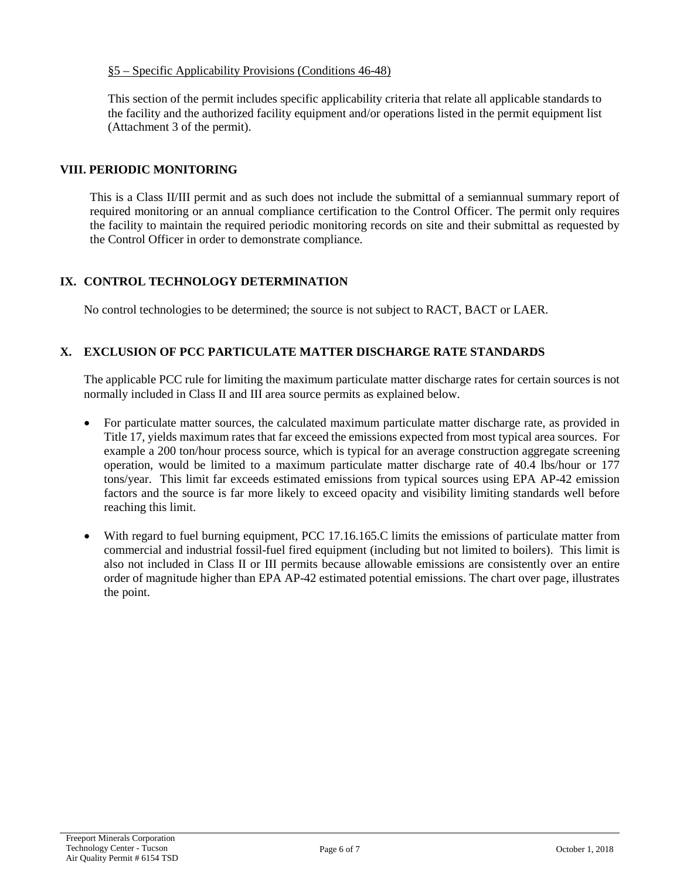#### §5 – Specific Applicability Provisions (Conditions 46-48)

This section of the permit includes specific applicability criteria that relate all applicable standards to the facility and the authorized facility equipment and/or operations listed in the permit equipment list (Attachment 3 of the permit).

#### **VIII. PERIODIC MONITORING**

This is a Class II/III permit and as such does not include the submittal of a semiannual summary report of required monitoring or an annual compliance certification to the Control Officer. The permit only requires the facility to maintain the required periodic monitoring records on site and their submittal as requested by the Control Officer in order to demonstrate compliance.

## **IX. CONTROL TECHNOLOGY DETERMINATION**

No control technologies to be determined; the source is not subject to RACT, BACT or LAER.

## **X. EXCLUSION OF PCC PARTICULATE MATTER DISCHARGE RATE STANDARDS**

The applicable PCC rule for limiting the maximum particulate matter discharge rates for certain sources is not normally included in Class II and III area source permits as explained below.

- For particulate matter sources, the calculated maximum particulate matter discharge rate, as provided in Title 17, yields maximum rates that far exceed the emissions expected from most typical area sources. For example a 200 ton/hour process source, which is typical for an average construction aggregate screening operation, would be limited to a maximum particulate matter discharge rate of 40.4 lbs/hour or 177 tons/year. This limit far exceeds estimated emissions from typical sources using EPA AP-42 emission factors and the source is far more likely to exceed opacity and visibility limiting standards well before reaching this limit.
- With regard to fuel burning equipment, PCC 17.16.165.C limits the emissions of particulate matter from commercial and industrial fossil-fuel fired equipment (including but not limited to boilers). This limit is also not included in Class II or III permits because allowable emissions are consistently over an entire order of magnitude higher than EPA AP-42 estimated potential emissions. The chart over page, illustrates the point.